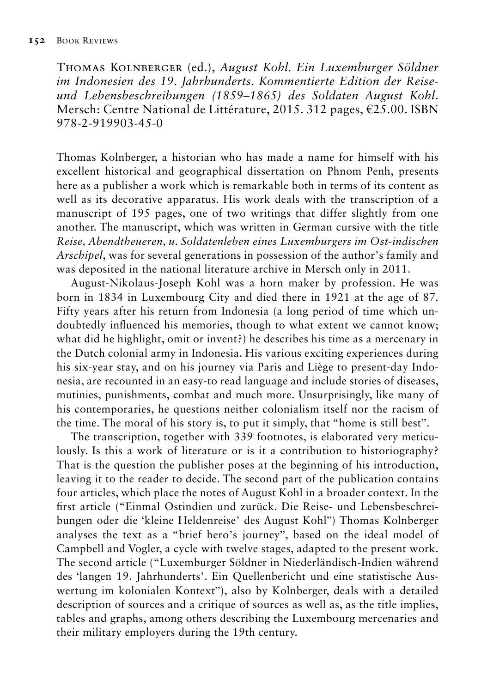Thomas Kolnberger (ed.), *August Kohl. Ein Luxemburger Söldner im Indonesien des 19. Jahrhunderts. Kommentierte Edition der Reiseund Lebensbeschreibungen (1859*–*1865) des Soldaten August Kohl*. Mersch: Centre National de Littérature, 2015. 312 pages, €25.00. ISBN 978-2-919903-45-0

Thomas Kolnberger, a historian who has made a name for himself with his excellent historical and geographical dissertation on Phnom Penh, presents here as a publisher a work which is remarkable both in terms of its content as well as its decorative apparatus. His work deals with the transcription of a manuscript of 195 pages, one of two writings that differ slightly from one another. The manuscript, which was written in German cursive with the title *Reise, Abendtheueren, u. Soldatenleben eines Luxemburgers im Ost-indischen Arschipel*, was for several generations in possession of the author's family and was deposited in the national literature archive in Mersch only in 2011.

August-Nikolaus-Joseph Kohl was a horn maker by profession. He was born in 1834 in Luxembourg City and died there in 1921 at the age of 87. Fifty years after his return from Indonesia (a long period of time which undoubtedly influenced his memories, though to what extent we cannot know; what did he highlight, omit or invent?) he describes his time as a mercenary in the Dutch colonial army in Indonesia. His various exciting experiences during his six-year stay, and on his journey via Paris and Liège to present-day Indonesia, are recounted in an easy-to read language and include stories of diseases, mutinies, punishments, combat and much more. Unsurprisingly, like many of his contemporaries, he questions neither colonialism itself nor the racism of the time. The moral of his story is, to put it simply, that "home is still best".

The transcription, together with 339 footnotes, is elaborated very meticulously. Is this a work of literature or is it a contribution to historiography? That is the question the publisher poses at the beginning of his introduction, leaving it to the reader to decide. The second part of the publication contains four articles, which place the notes of August Kohl in a broader context. In the first article ("Einmal Ostindien und zurück. Die Reise- und Lebensbeschreibungen oder die 'kleine Heldenreise' des August Kohl") Thomas Kolnberger analyses the text as a "brief hero's journey", based on the ideal model of Campbell and Vogler, a cycle with twelve stages, adapted to the present work. The second article ("Luxemburger Söldner in Niederländisch-Indien während des 'langen 19. Jahrhunderts'. Ein Quellenbericht und eine statistische Auswertung im kolonialen Kontext"), also by Kolnberger, deals with a detailed description of sources and a critique of sources as well as, as the title implies, tables and graphs, among others describing the Luxembourg mercenaries and their military employers during the 19th century.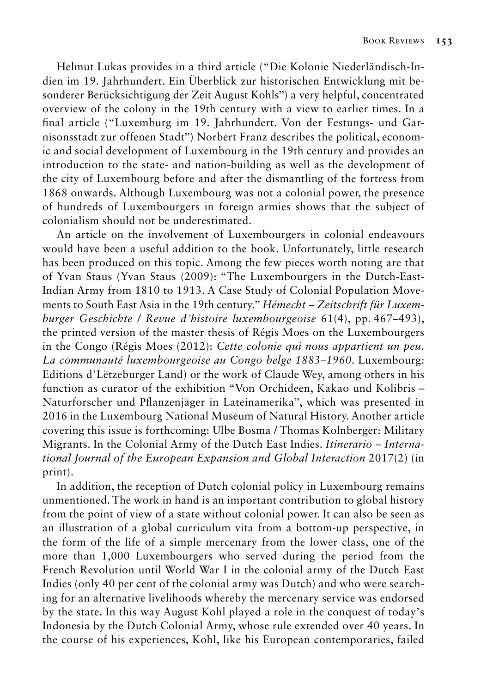Helmut Lukas provides in a third article ("Die Kolonie Niederländisch-Indien im 19. Jahrhundert. Ein Überblick zur historischen Entwicklung mit besonderer Berücksichtigung der Zeit August Kohls") a very helpful, concentrated overview of the colony in the 19th century with a view to earlier times. In a final article ("Luxemburg im 19. Jahrhundert. Von der Festungs- und Garnisonsstadt zur offenen Stadt") Norbert Franz describes the political, economic and social development of Luxembourg in the 19th century and provides an introduction to the state- and nation-building as well as the development of the city of Luxembourg before and after the dismantling of the fortress from 1868 onwards. Although Luxembourg was not a colonial power, the presence of hundreds of Luxembourgers in foreign armies shows that the subject of colonialism should not be underestimated.

An article on the involvement of Luxembourgers in colonial endeavours would have been a useful addition to the book. Unfortunately, little research has been produced on this topic. Among the few pieces worth noting are that of Yvan Staus (Yvan Staus (2009): "The Luxembourgers in the Dutch-East-Indian Army from 1810 to 1913. A Case Study of Colonial Population Movements to South East Asia in the 19th century." *Hémecht – Zeitschrift für Luxemburger Geschichte / Revue d'histoire luxembourgeoise* 61(4), pp. 467–493), the printed version of the master thesis of Régis Moes on the Luxembourgers in the Congo (Régis Moes (2012): *Cette colonie qui nous appartient un peu. La communauté luxembourgeoise au Congo belge 1883–1960*. Luxembourg: Editions d'Lëtzeburger Land) or the work of Claude Wey, among others in his function as curator of the exhibition "Von Orchideen, Kakao und Kolibris – Naturforscher und Pflanzenjäger in Lateinamerika", which was presented in 2016 in the Luxembourg National Museum of Natural History. Another article covering this issue is forthcoming: Ulbe Bosma / Thomas Kolnberger: Military Migrants. In the Colonial Army of the Dutch East Indies. *Itinerario – International Journal of the European Expansion and Global Interaction* 2017(2) (in print).

In addition, the reception of Dutch colonial policy in Luxembourg remains unmentioned. The work in hand is an important contribution to global history from the point of view of a state without colonial power. It can also be seen as an illustration of a global curriculum vita from a bottom-up perspective, in the form of the life of a simple mercenary from the lower class, one of the more than 1,000 Luxembourgers who served during the period from the French Revolution until World War I in the colonial army of the Dutch East Indies (only 40 per cent of the colonial army was Dutch) and who were searching for an alternative livelihoods whereby the mercenary service was endorsed by the state. In this way August Kohl played a role in the conquest of today's Indonesia by the Dutch Colonial Army, whose rule extended over 40 years. In the course of his experiences, Kohl, like his European contemporaries, failed